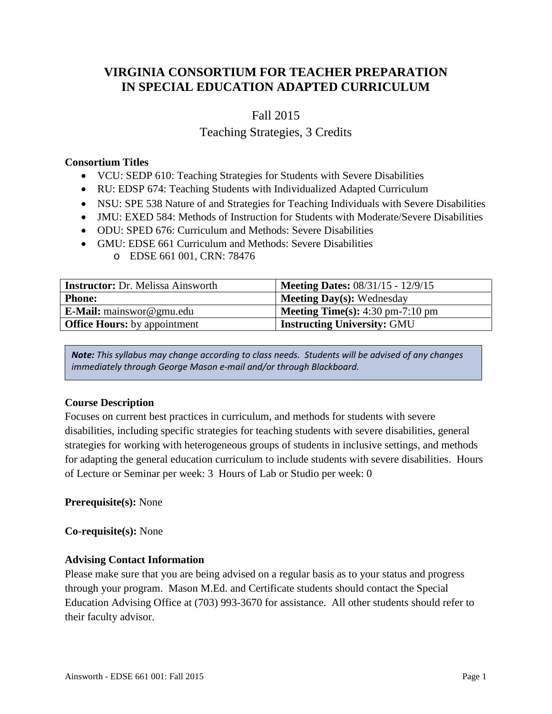# **VIRGINIA CONSORTIUM FOR TEACHER PREPARATION IN SPECIAL EDUCATION ADAPTED CURRICULUM**

# Fall 2015

# Teaching Strategies, 3 Credits

### **Consortium Titles**

- VCU: SEDP 610: Teaching Strategies for Students with Severe Disabilities
- RU: EDSP 674: Teaching Students with Individualized Adapted Curriculum
- NSU: SPE 538 Nature of and Strategies for Teaching Individuals with Severe Disabilities
- JMU: EXED 584: Methods of Instruction for Students with Moderate/Severe Disabilities
- ODU: SPED 676: Curriculum and Methods: Severe Disabilities
- GMU: EDSE 661 Curriculum and Methods: Severe Disabilities
	- o EDSE 661 001, CRN: 78476

| <b>Instructor:</b> Dr. Melissa Ainsworth | <b>Meeting Dates: 08/31/15 - 12/9/15</b>                  |
|------------------------------------------|-----------------------------------------------------------|
| <b>Phone:</b>                            | <b>Meeting Day(s):</b> Wednesday                          |
| <b>E-Mail:</b> mainswor@gmu.edu          | <b>Meeting Time(s):</b> $4:30 \text{ pm}-7:10 \text{ pm}$ |
| <b>Office Hours:</b> by appointment      | <b>Instructing University: GMU</b>                        |

*Note: This syllabus may change according to class needs. Students will be advised of any changes immediately through George Mason e-mail and/or through Blackboard.*

# **Course Description**

Focuses on current best practices in curriculum, and methods for students with severe disabilities, including specific strategies for teaching students with severe disabilities, general strategies for working with heterogeneous groups of students in inclusive settings, and methods for adapting the general education curriculum to include students with severe disabilities. Hours of Lecture or Seminar per week: 3 Hours of Lab or Studio per week: 0

#### **Prerequisite(s):** None

#### **Co-requisite(s):** None

#### **Advising Contact Information**

Please make sure that you are being advised on a regular basis as to your status and progress through your program. Mason M.Ed. and Certificate students should contact the Special Education Advising Office at (703) 993-3670 for assistance. All other students should refer to their faculty advisor.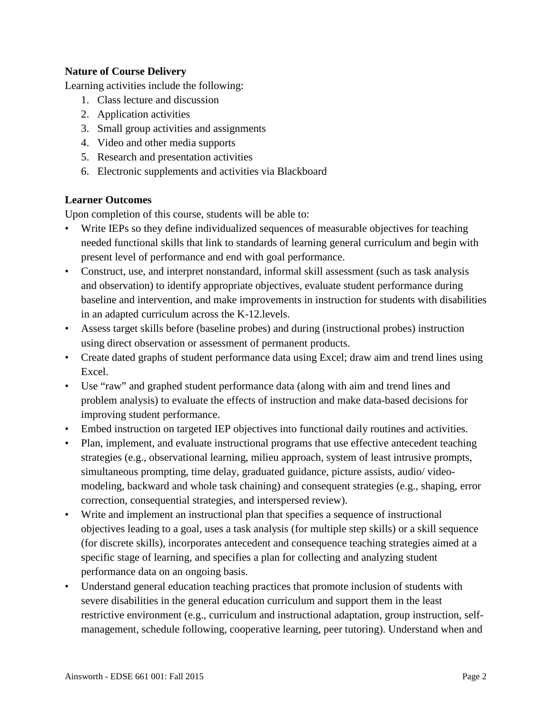# **Nature of Course Delivery**

Learning activities include the following:

- 1. Class lecture and discussion
- 2. Application activities
- 3. Small group activities and assignments
- 4. Video and other media supports
- 5. Research and presentation activities
- 6. Electronic supplements and activities via Blackboard

# **Learner Outcomes**

Upon completion of this course, students will be able to:

- Write IEPs so they define individualized sequences of measurable objectives for teaching needed functional skills that link to standards of learning general curriculum and begin with present level of performance and end with goal performance.
- Construct, use, and interpret nonstandard, informal skill assessment (such as task analysis and observation) to identify appropriate objectives, evaluate student performance during baseline and intervention, and make improvements in instruction for students with disabilities in an adapted curriculum across the K-12.levels.
- Assess target skills before (baseline probes) and during (instructional probes) instruction using direct observation or assessment of permanent products.
- Create dated graphs of student performance data using Excel; draw aim and trend lines using Excel.
- Use "raw" and graphed student performance data (along with aim and trend lines and problem analysis) to evaluate the effects of instruction and make data-based decisions for improving student performance.
- Embed instruction on targeted IEP objectives into functional daily routines and activities.
- Plan, implement, and evaluate instructional programs that use effective antecedent teaching strategies (e.g., observational learning, milieu approach, system of least intrusive prompts, simultaneous prompting, time delay, graduated guidance, picture assists, audio/ videomodeling, backward and whole task chaining) and consequent strategies (e.g., shaping, error correction, consequential strategies, and interspersed review).
- Write and implement an instructional plan that specifies a sequence of instructional objectives leading to a goal, uses a task analysis (for multiple step skills) or a skill sequence (for discrete skills), incorporates antecedent and consequence teaching strategies aimed at a specific stage of learning, and specifies a plan for collecting and analyzing student performance data on an ongoing basis.
- Understand general education teaching practices that promote inclusion of students with severe disabilities in the general education curriculum and support them in the least restrictive environment (e.g., curriculum and instructional adaptation, group instruction, selfmanagement, schedule following, cooperative learning, peer tutoring). Understand when and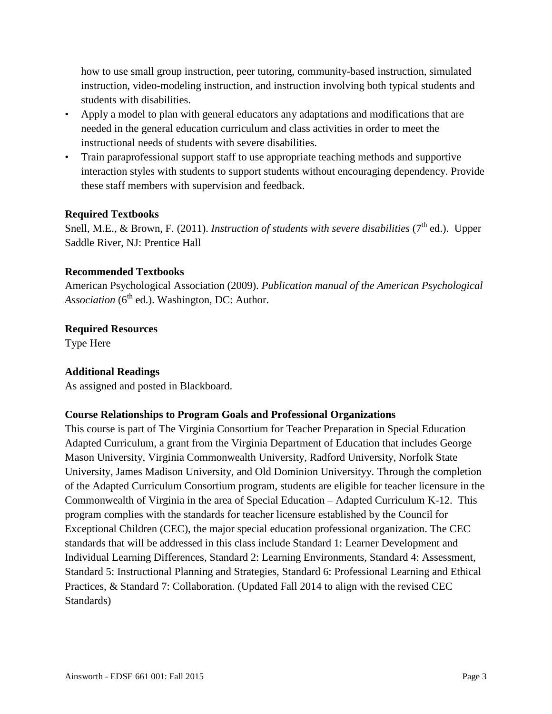how to use small group instruction, peer tutoring, community-based instruction, simulated instruction, video-modeling instruction, and instruction involving both typical students and students with disabilities.

- Apply a model to plan with general educators any adaptations and modifications that are needed in the general education curriculum and class activities in order to meet the instructional needs of students with severe disabilities.
- Train paraprofessional support staff to use appropriate teaching methods and supportive interaction styles with students to support students without encouraging dependency. Provide these staff members with supervision and feedback.

# **Required Textbooks**

Snell, M.E., & Brown, F. (2011). *Instruction of students with severe disabilities* (7<sup>th</sup> ed.). Upper Saddle River, NJ: Prentice Hall

#### **Recommended Textbooks**

American Psychological Association (2009). *Publication manual of the American Psychological Association* (6<sup>th</sup> ed.). Washington, DC: Author.

# **Required Resources**

Type Here

# **Additional Readings**

As assigned and posted in Blackboard.

#### **Course Relationships to Program Goals and Professional Organizations**

This course is part of The Virginia Consortium for Teacher Preparation in Special Education Adapted Curriculum, a grant from the Virginia Department of Education that includes George Mason University, Virginia Commonwealth University, Radford University, Norfolk State University, James Madison University, and Old Dominion Universityy. Through the completion of the Adapted Curriculum Consortium program, students are eligible for teacher licensure in the Commonwealth of Virginia in the area of Special Education – Adapted Curriculum K-12. This program complies with the standards for teacher licensure established by the Council for Exceptional Children (CEC), the major special education professional organization. The CEC standards that will be addressed in this class include Standard 1: Learner Development and Individual Learning Differences, Standard 2: Learning Environments, Standard 4: Assessment, Standard 5: Instructional Planning and Strategies, Standard 6: Professional Learning and Ethical Practices, & Standard 7: Collaboration. (Updated Fall 2014 to align with the revised CEC Standards)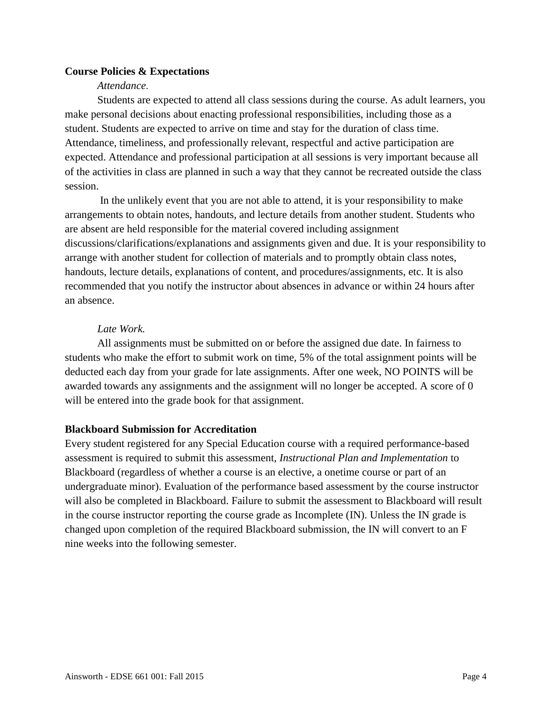# **Course Policies & Expectations**

#### *Attendance*.

Students are expected to attend all class sessions during the course. As adult learners, you make personal decisions about enacting professional responsibilities, including those as a student. Students are expected to arrive on time and stay for the duration of class time. Attendance, timeliness, and professionally relevant, respectful and active participation are expected. Attendance and professional participation at all sessions is very important because all of the activities in class are planned in such a way that they cannot be recreated outside the class session.

In the unlikely event that you are not able to attend, it is your responsibility to make arrangements to obtain notes, handouts, and lecture details from another student. Students who are absent are held responsible for the material covered including assignment discussions/clarifications/explanations and assignments given and due. It is your responsibility to arrange with another student for collection of materials and to promptly obtain class notes, handouts, lecture details, explanations of content, and procedures/assignments, etc. It is also recommended that you notify the instructor about absences in advance or within 24 hours after an absence.

#### *Late Work.*

All assignments must be submitted on or before the assigned due date. In fairness to students who make the effort to submit work on time, 5% of the total assignment points will be deducted each day from your grade for late assignments. After one week, NO POINTS will be awarded towards any assignments and the assignment will no longer be accepted. A score of 0 will be entered into the grade book for that assignment.

#### **Blackboard Submission for Accreditation**

Every student registered for any Special Education course with a required performance-based assessment is required to submit this assessment, *Instructional Plan and Implementation* to Blackboard (regardless of whether a course is an elective, a onetime course or part of an undergraduate minor). Evaluation of the performance based assessment by the course instructor will also be completed in Blackboard. Failure to submit the assessment to Blackboard will result in the course instructor reporting the course grade as Incomplete (IN). Unless the IN grade is changed upon completion of the required Blackboard submission, the IN will convert to an F nine weeks into the following semester.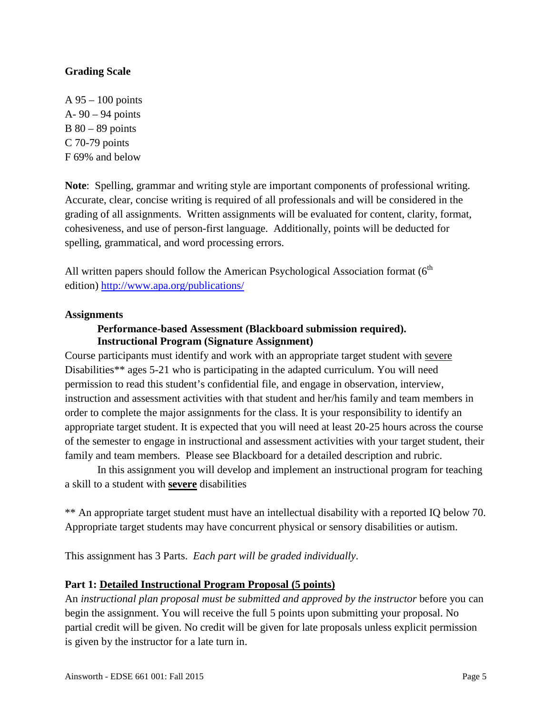# **Grading Scale**

A 95 – 100 points A- 90 – 94 points B 80 – 89 points C 70-79 points F 69% and below

**Note**: Spelling, grammar and writing style are important components of professional writing. Accurate, clear, concise writing is required of all professionals and will be considered in the grading of all assignments. Written assignments will be evaluated for content, clarity, format, cohesiveness, and use of person-first language. Additionally, points will be deducted for spelling, grammatical, and word processing errors.

All written papers should follow the American Psychological Association format (6<sup>th</sup> edition)<http://www.apa.org/publications/>

#### **Assignments**

#### **Performance-based Assessment (Blackboard submission required). Instructional Program (Signature Assignment)**

Course participants must identify and work with an appropriate target student with severe Disabilities\*\* ages 5-21 who is participating in the adapted curriculum. You will need permission to read this student's confidential file, and engage in observation, interview, instruction and assessment activities with that student and her/his family and team members in order to complete the major assignments for the class. It is your responsibility to identify an appropriate target student. It is expected that you will need at least 20-25 hours across the course of the semester to engage in instructional and assessment activities with your target student, their family and team members. Please see Blackboard for a detailed description and rubric.

In this assignment you will develop and implement an instructional program for teaching a skill to a student with **severe** disabilities

\*\* An appropriate target student must have an intellectual disability with a reported IQ below 70. Appropriate target students may have concurrent physical or sensory disabilities or autism.

This assignment has 3 Parts. *Each part will be graded individually*.

#### **Part 1: Detailed Instructional Program Proposal (5 points)**

An *instructional plan proposal must be submitted and approved by the instructor* before you can begin the assignment. You will receive the full 5 points upon submitting your proposal. No partial credit will be given. No credit will be given for late proposals unless explicit permission is given by the instructor for a late turn in.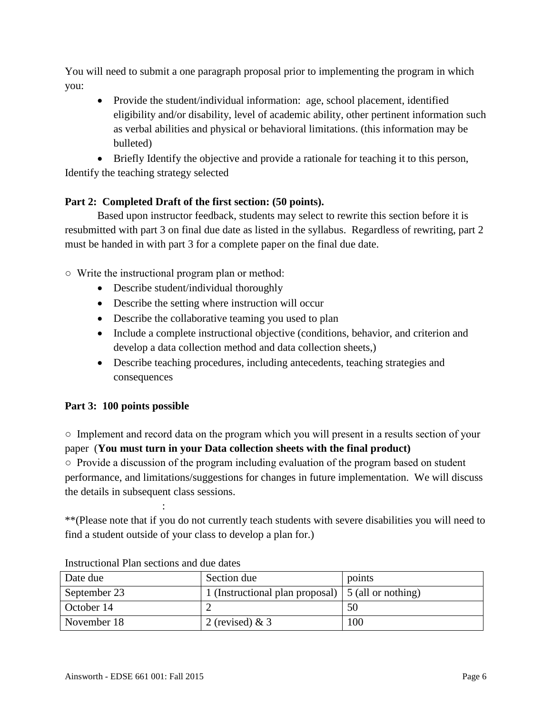You will need to submit a one paragraph proposal prior to implementing the program in which you:

• Provide the student/individual information: age, school placement, identified eligibility and/or disability, level of academic ability, other pertinent information such as verbal abilities and physical or behavioral limitations. (this information may be bulleted)

• Briefly Identify the objective and provide a rationale for teaching it to this person, Identify the teaching strategy selected

# **Part 2: Completed Draft of the first section: (50 points).**

Based upon instructor feedback, students may select to rewrite this section before it is resubmitted with part 3 on final due date as listed in the syllabus. Regardless of rewriting, part 2 must be handed in with part 3 for a complete paper on the final due date.

○ Write the instructional program plan or method:

- Describe student/individual thoroughly
- Describe the setting where instruction will occur
- Describe the collaborative teaming you used to plan
- Include a complete instructional objective (conditions, behavior, and criterion and develop a data collection method and data collection sheets,)
- Describe teaching procedures, including antecedents, teaching strategies and consequences

# **Part 3: 100 points possible**

○ Implement and record data on the program which you will present in a results section of your paper (**You must turn in your Data collection sheets with the final product)**

○ Provide a discussion of the program including evaluation of the program based on student performance, and limitations/suggestions for changes in future implementation. We will discuss the details in subsequent class sessions.

\*\*(Please note that if you do not currently teach students with severe disabilities you will need to find a student outside of your class to develop a plan for.)

| Date due     | Section due                                               | points |
|--------------|-----------------------------------------------------------|--------|
| September 23 | 1 (Instructional plan proposal) $\mid$ 5 (all or nothing) |        |
| October 14   |                                                           | 50     |
| November 18  | 2 (revised) $& 3$                                         | 100    |

Instructional Plan sections and due dates

: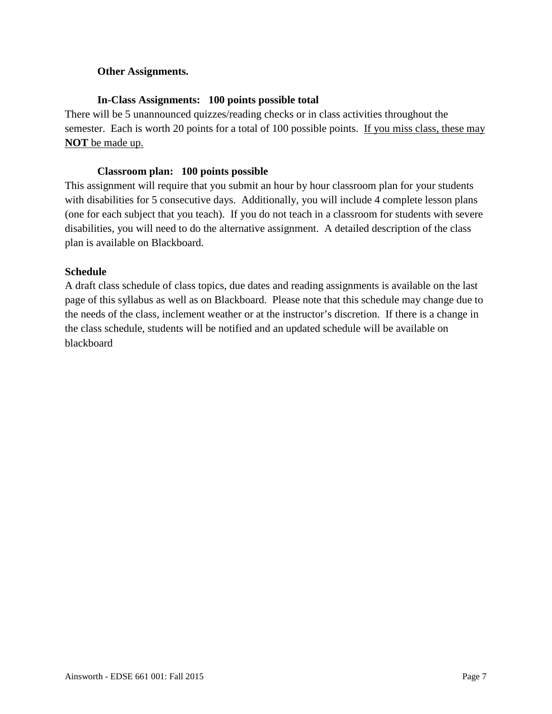# **Other Assignments.**

# **In-Class Assignments: 100 points possible total**

There will be 5 unannounced quizzes/reading checks or in class activities throughout the semester. Each is worth 20 points for a total of 100 possible points. If you miss class, these may **NOT** be made up.

### **Classroom plan: 100 points possible**

This assignment will require that you submit an hour by hour classroom plan for your students with disabilities for 5 consecutive days. Additionally, you will include 4 complete lesson plans (one for each subject that you teach). If you do not teach in a classroom for students with severe disabilities, you will need to do the alternative assignment. A detailed description of the class plan is available on Blackboard.

# **Schedule**

A draft class schedule of class topics, due dates and reading assignments is available on the last page of this syllabus as well as on Blackboard. Please note that this schedule may change due to the needs of the class, inclement weather or at the instructor's discretion. If there is a change in the class schedule, students will be notified and an updated schedule will be available on blackboard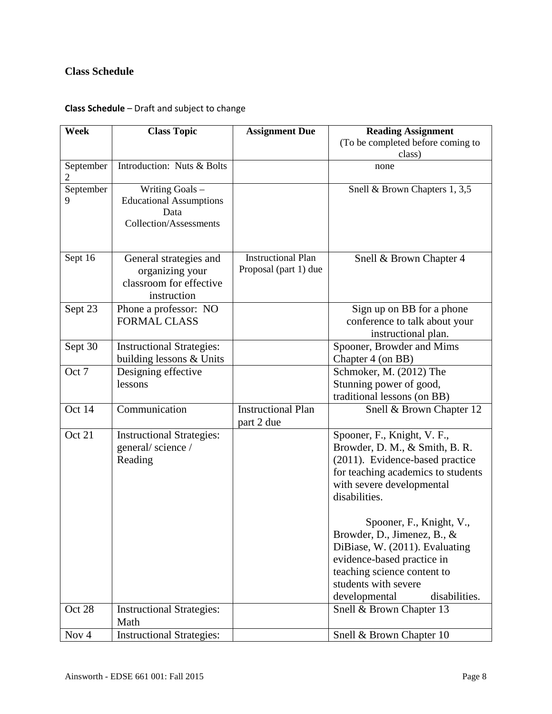# **Class Schedule**

# **Class Schedule** – Draft and subject to change

| Week             | <b>Class Topic</b>                                                                         | <b>Assignment Due</b>                              | <b>Reading Assignment</b>                                                                                                                                                                                                                       |
|------------------|--------------------------------------------------------------------------------------------|----------------------------------------------------|-------------------------------------------------------------------------------------------------------------------------------------------------------------------------------------------------------------------------------------------------|
|                  |                                                                                            |                                                    | (To be completed before coming to<br>class)                                                                                                                                                                                                     |
| September<br>2   | Introduction: Nuts & Bolts                                                                 |                                                    | none                                                                                                                                                                                                                                            |
| September<br>9   | Writing Goals -<br><b>Educational Assumptions</b><br>Data<br><b>Collection/Assessments</b> |                                                    | Snell & Brown Chapters 1, 3,5                                                                                                                                                                                                                   |
| Sept 16          | General strategies and<br>organizing your<br>classroom for effective<br>instruction        | <b>Instructional Plan</b><br>Proposal (part 1) due | Snell & Brown Chapter 4                                                                                                                                                                                                                         |
| Sept 23          | Phone a professor: NO<br><b>FORMAL CLASS</b>                                               |                                                    | Sign up on BB for a phone<br>conference to talk about your<br>instructional plan.                                                                                                                                                               |
| Sept 30          | <b>Instructional Strategies:</b><br>building lessons & Units                               |                                                    | Spooner, Browder and Mims<br>Chapter 4 (on BB)                                                                                                                                                                                                  |
| Oct 7            | Designing effective<br>lessons                                                             |                                                    | Schmoker, M. (2012) The<br>Stunning power of good,<br>traditional lessons (on BB)                                                                                                                                                               |
| Oct 14           | Communication                                                                              | <b>Instructional Plan</b><br>part 2 due            | Snell & Brown Chapter 12                                                                                                                                                                                                                        |
| Oct 21           | <b>Instructional Strategies:</b><br>general/science/<br>Reading                            |                                                    | Spooner, F., Knight, V. F.,<br>Browder, D. M., & Smith, B. R.<br>(2011). Evidence-based practice<br>for teaching academics to students<br>with severe developmental<br>disabilities.<br>Spooner, F., Knight, V.,<br>Browder, D., Jimenez, B., & |
|                  |                                                                                            |                                                    | DiBiase, W. (2011). Evaluating<br>evidence-based practice in<br>teaching science content to<br>students with severe<br>developmental<br>disabilities.                                                                                           |
| Oct 28           | <b>Instructional Strategies:</b><br>Math                                                   |                                                    | Snell & Brown Chapter 13                                                                                                                                                                                                                        |
| Nov <sub>4</sub> | <b>Instructional Strategies:</b>                                                           |                                                    | Snell & Brown Chapter 10                                                                                                                                                                                                                        |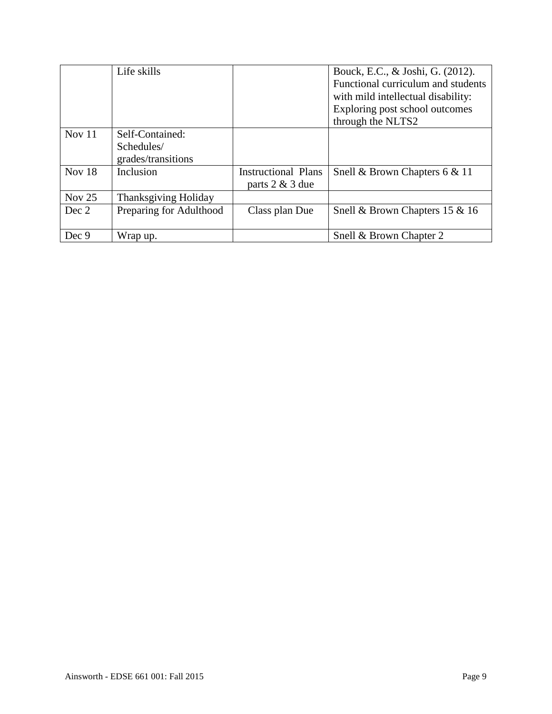|          | Life skills                 |                            | Bouck, E.C., & Joshi, G. (2012).   |
|----------|-----------------------------|----------------------------|------------------------------------|
|          |                             |                            | Functional curriculum and students |
|          |                             |                            | with mild intellectual disability: |
|          |                             |                            | Exploring post school outcomes     |
|          |                             |                            | through the NLTS2                  |
| Nov $11$ | Self-Contained:             |                            |                                    |
|          | Schedules/                  |                            |                                    |
|          | grades/transitions          |                            |                                    |
| Nov $18$ | Inclusion                   | <b>Instructional Plans</b> | Snell & Brown Chapters 6 & 11      |
|          |                             | parts 2 & 3 due            |                                    |
| Nov $25$ | <b>Thanksgiving Holiday</b> |                            |                                    |
| Dec 2    | Preparing for Adulthood     | Class plan Due             | Snell & Brown Chapters 15 & 16     |
|          |                             |                            |                                    |
| Dec 9    | Wrap up.                    |                            | Snell & Brown Chapter 2            |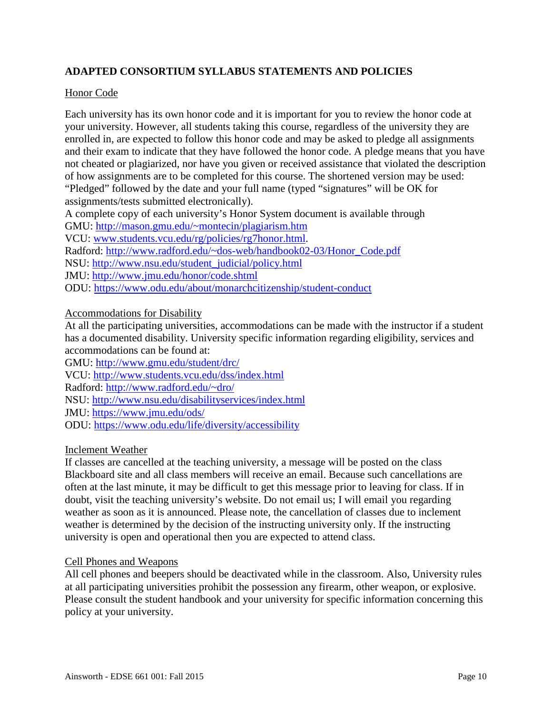# **ADAPTED CONSORTIUM SYLLABUS STATEMENTS AND POLICIES**

### Honor Code

Each university has its own honor code and it is important for you to review the honor code at your university. However, all students taking this course, regardless of the university they are enrolled in, are expected to follow this honor code and may be asked to pledge all assignments and their exam to indicate that they have followed the honor code. A pledge means that you have not cheated or plagiarized, nor have you given or received assistance that violated the description of how assignments are to be completed for this course. The shortened version may be used: "Pledged" followed by the date and your full name (typed "signatures" will be OK for assignments/tests submitted electronically).

A complete copy of each university's Honor System document is available through

GMU:<http://mason.gmu.edu/~montecin/plagiarism.htm>

VCU: [www.students.vcu.edu/rg/policies/rg7honor.html.](http://www.students.vcu.edu/rg/policies/rg7honor.html)

Radford: [http://www.radford.edu/~dos-web/handbook02-03/Honor\\_Code.pdf](http://www.radford.edu/~dos-web/handbook02-03/Honor_Code.pdf)

NSU: [http://www.nsu.edu/student\\_judicial/policy.html](http://www.nsu.edu/student_judicial/policy.html)

JMU:<http://www.jmu.edu/honor/code.shtml>

ODU:<https://www.odu.edu/about/monarchcitizenship/student-conduct>

# Accommodations for Disability

At all the participating universities, accommodations can be made with the instructor if a student has a documented disability. University specific information regarding eligibility, services and accommodations can be found at:

GMU:<http://www.gmu.edu/student/drc/>

VCU:<http://www.students.vcu.edu/dss/index.html>

Radford:<http://www.radford.edu/~dro/>

NSU:<http://www.nsu.edu/disabilityservices/index.html>

JMU:<https://www.jmu.edu/ods/>

ODU:<https://www.odu.edu/life/diversity/accessibility>

#### Inclement Weather

If classes are cancelled at the teaching university, a message will be posted on the class Blackboard site and all class members will receive an email. Because such cancellations are often at the last minute, it may be difficult to get this message prior to leaving for class. If in doubt, visit the teaching university's website. Do not email us; I will email you regarding weather as soon as it is announced. Please note, the cancellation of classes due to inclement weather is determined by the decision of the instructing university only. If the instructing university is open and operational then you are expected to attend class.

#### Cell Phones and Weapons

All cell phones and beepers should be deactivated while in the classroom. Also, University rules at all participating universities prohibit the possession any firearm, other weapon, or explosive. Please consult the student handbook and your university for specific information concerning this policy at your university.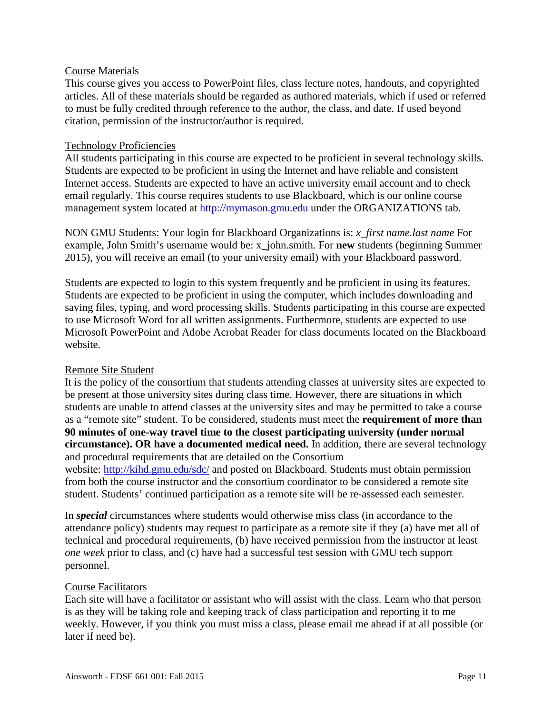#### Course Materials

This course gives you access to PowerPoint files, class lecture notes, handouts, and copyrighted articles. All of these materials should be regarded as authored materials, which if used or referred to must be fully credited through reference to the author, the class, and date. If used beyond citation, permission of the instructor/author is required.

#### Technology Proficiencies

All students participating in this course are expected to be proficient in several technology skills. Students are expected to be proficient in using the Internet and have reliable and consistent Internet access. Students are expected to have an active university email account and to check email regularly. This course requires students to use Blackboard, which is our online course management system located at [http://mymason.gmu.edu](http://mymason.gmu.edu/) under the ORGANIZATIONS tab.

NON GMU Students: Your login for Blackboard Organizations is: *x\_first name.last name* For example, John Smith's username would be: x\_john.smith. For **new** students (beginning Summer 2015), you will receive an email (to your university email) with your Blackboard password.

Students are expected to login to this system frequently and be proficient in using its features. Students are expected to be proficient in using the computer, which includes downloading and saving files, typing, and word processing skills. Students participating in this course are expected to use Microsoft Word for all written assignments. Furthermore, students are expected to use Microsoft PowerPoint and Adobe Acrobat Reader for class documents located on the Blackboard website.

#### Remote Site Student

It is the policy of the consortium that students attending classes at university sites are expected to be present at those university sites during class time. However, there are situations in which students are unable to attend classes at the university sites and may be permitted to take a course as a "remote site" student. To be considered, students must meet the **requirement of more than 90 minutes of one-way travel time to the closest participating university (under normal circumstance). OR have a documented medical need.** In addition, **t**here are several technology and procedural requirements that are detailed on the Consortium

website:<http://kihd.gmu.edu/sdc/> and posted on Blackboard. Students must obtain permission from both the course instructor and the consortium coordinator to be considered a remote site student. Students' continued participation as a remote site will be re-assessed each semester.

In *special* circumstances where students would otherwise miss class (in accordance to the attendance policy) students may request to participate as a remote site if they (a) have met all of technical and procedural requirements, (b) have received permission from the instructor at least *one week* prior to class, and (c) have had a successful test session with GMU tech support personnel.

#### Course Facilitators

Each site will have a facilitator or assistant who will assist with the class. Learn who that person is as they will be taking role and keeping track of class participation and reporting it to me weekly. However, if you think you must miss a class, please email me ahead if at all possible (or later if need be).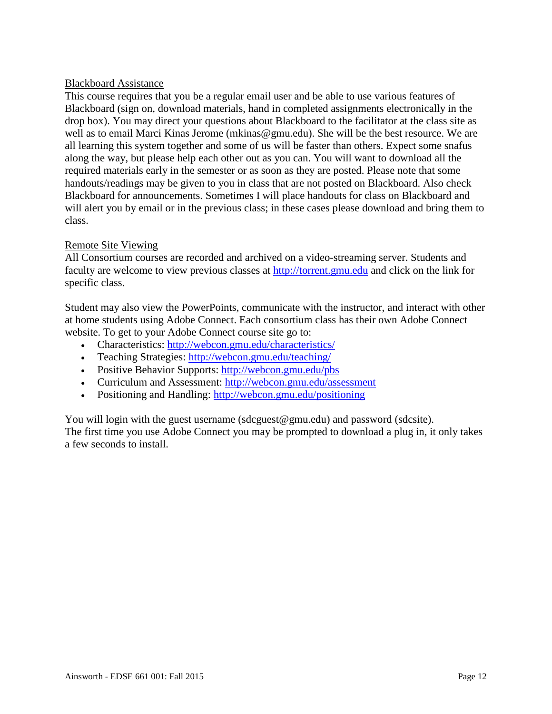### Blackboard Assistance

This course requires that you be a regular email user and be able to use various features of Blackboard (sign on, download materials, hand in completed assignments electronically in the drop box). You may direct your questions about Blackboard to the facilitator at the class site as well as to email Marci Kinas Jerome (mkinas@gmu.edu). She will be the best resource. We are all learning this system together and some of us will be faster than others. Expect some snafus along the way, but please help each other out as you can. You will want to download all the required materials early in the semester or as soon as they are posted. Please note that some handouts/readings may be given to you in class that are not posted on Blackboard. Also check Blackboard for announcements. Sometimes I will place handouts for class on Blackboard and will alert you by email or in the previous class; in these cases please download and bring them to class.

# Remote Site Viewing

All Consortium courses are recorded and archived on a video-streaming server. Students and faculty are welcome to view previous classes at [http://torrent.gmu.edu](http://torrent.gmu.edu/) and click on the link for specific class.

Student may also view the PowerPoints, communicate with the instructor, and interact with other at home students using Adobe Connect. Each consortium class has their own Adobe Connect website. To get to your Adobe Connect course site go to:

- Characteristics:<http://webcon.gmu.edu/characteristics/>
- Teaching Strategies:<http://webcon.gmu.edu/teaching/>
- Positive Behavior Supports: http://webcon.gmu.edu/pbs
- Curriculum and Assessment:<http://webcon.gmu.edu/assessment>
- Positioning and Handling: http://webcon.gmu.edu/positioning

You will login with the guest username (sdcguest@gmu.edu) and password (sdcsite). The first time you use Adobe Connect you may be prompted to download a plug in, it only takes a few seconds to install.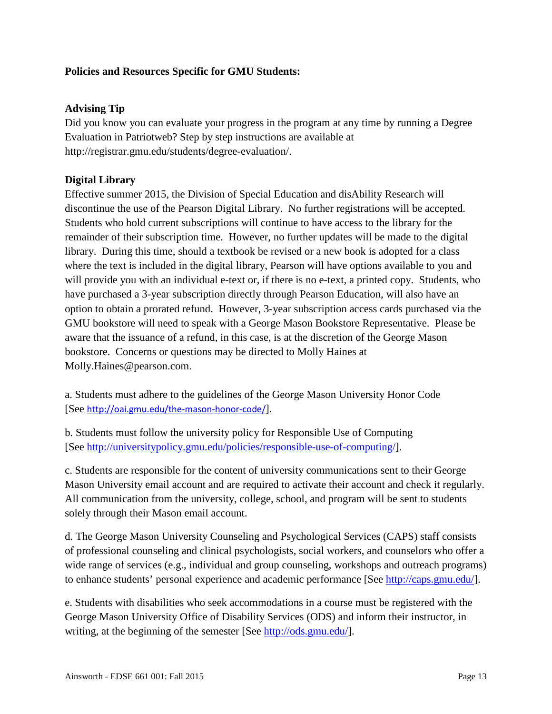# **Policies and Resources Specific for GMU Students:**

# **Advising Tip**

Did you know you can evaluate your progress in the program at any time by running a Degree Evaluation in Patriotweb? Step by step instructions are available at http://registrar.gmu.edu/students/degree-evaluation/.

# **Digital Library**

Effective summer 2015, the Division of Special Education and disAbility Research will discontinue the use of the Pearson Digital Library. No further registrations will be accepted. Students who hold current subscriptions will continue to have access to the library for the remainder of their subscription time. However, no further updates will be made to the digital library. During this time, should a textbook be revised or a new book is adopted for a class where the text is included in the digital library, Pearson will have options available to you and will provide you with an individual e-text or, if there is no e-text, a printed copy. Students, who have purchased a 3-year subscription directly through Pearson Education, will also have an option to obtain a prorated refund. However, 3-year subscription access cards purchased via the GMU bookstore will need to speak with a George Mason Bookstore Representative. Please be aware that the issuance of a refund, in this case, is at the discretion of the George Mason bookstore. Concerns or questions may be directed to Molly Haines at Molly.Haines@pearson.com.

a. Students must adhere to the guidelines of the George Mason University Honor Code [See <http://oai.gmu.edu/the-mason-honor-code/>].

b. Students must follow the university policy for Responsible Use of Computing [See [http://universitypolicy.gmu.edu/policies/responsible-use-of-computing/\]](http://universitypolicy.gmu.edu/policies/responsible-use-of-computing/).

c. Students are responsible for the content of university communications sent to their George Mason University email account and are required to activate their account and check it regularly. All communication from the university, college, school, and program will be sent to students solely through their Mason email account.

d. The George Mason University Counseling and Psychological Services (CAPS) staff consists of professional counseling and clinical psychologists, social workers, and counselors who offer a wide range of services (e.g., individual and group counseling, workshops and outreach programs) to enhance students' personal experience and academic performance [See [http://caps.gmu.edu/\]](http://caps.gmu.edu/).

e. Students with disabilities who seek accommodations in a course must be registered with the George Mason University Office of Disability Services (ODS) and inform their instructor, in writing, at the beginning of the semester [See [http://ods.gmu.edu/\]](http://ods.gmu.edu/).